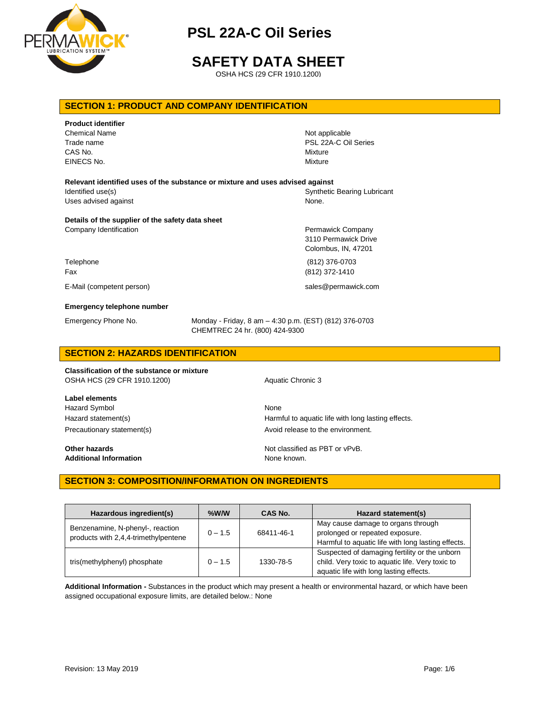

# **SAFETY DATA SHEET**

OSHA HCS (29 CFR 1910.1200)

## **SECTION 1: PRODUCT AND COMPANY IDENTIFICATION**

| <b>Product identifier</b><br><b>Chemical Name</b><br>Trade name<br>CAS No.<br>EINECS No. | Not applicable<br>PSL 22A-C Oil Series<br>Mixture<br>Mixture     |
|------------------------------------------------------------------------------------------|------------------------------------------------------------------|
| Relevant identified uses of the substance or mixture and uses advised against            |                                                                  |
| Identified use(s)                                                                        | <b>Synthetic Bearing Lubricant</b>                               |
| Uses advised against                                                                     | None.                                                            |
| Details of the supplier of the safety data sheet<br>Company Identification               | Permawick Company<br>3110 Permawick Drive<br>Colombus, IN, 47201 |
| Telephone                                                                                | (812) 376-0703                                                   |
| Fax                                                                                      | (812) 372-1410                                                   |
| E-Mail (competent person)                                                                | sales@permawick.com                                              |
| <b>Emergency telephone number</b>                                                        |                                                                  |

Emergency Phone No. Monday - Friday, 8 am – 4:30 p.m. (EST) (812) 376-0703 CHEMTREC 24 hr. (800) 424-9300

# **SECTION 2: HAZARDS IDENTIFICATION**

**Classification of the substance or mixture** OSHA HCS (29 CFR 1910.1200) Aquatic Chronic 3

**Label elements** Hazard Symbol None

Hazard statement(s) **Harmful to aquatic life with long lasting effects.** Precautionary statement(s) example a metal and avoid release to the environment.

**Other hazards Not classified as PBT or vPvB.** Additional Information **None known.** None known.

## **SECTION 3: COMPOSITION/INFORMATION ON INGREDIENTS**

| Hazardous ingredient(s)                                                  | $%$ W/W   | CAS No.    | Hazard statement(s)                                                                                                                          |
|--------------------------------------------------------------------------|-----------|------------|----------------------------------------------------------------------------------------------------------------------------------------------|
| Benzenamine, N-phenyl-, reaction<br>products with 2,4,4-trimethylpentene | $0 - 1.5$ | 68411-46-1 | May cause damage to organs through<br>prolonged or repeated exposure.<br>Harmful to aquatic life with long lasting effects.                  |
| tris(methylphenyl) phosphate                                             | $0 - 1.5$ | 1330-78-5  | Suspected of damaging fertility or the unborn<br>child. Very toxic to aquatic life. Very toxic to<br>aquatic life with long lasting effects. |

**Additional Information -** Substances in the product which may present a health or environmental hazard, or which have been assigned occupational exposure limits, are detailed below.: None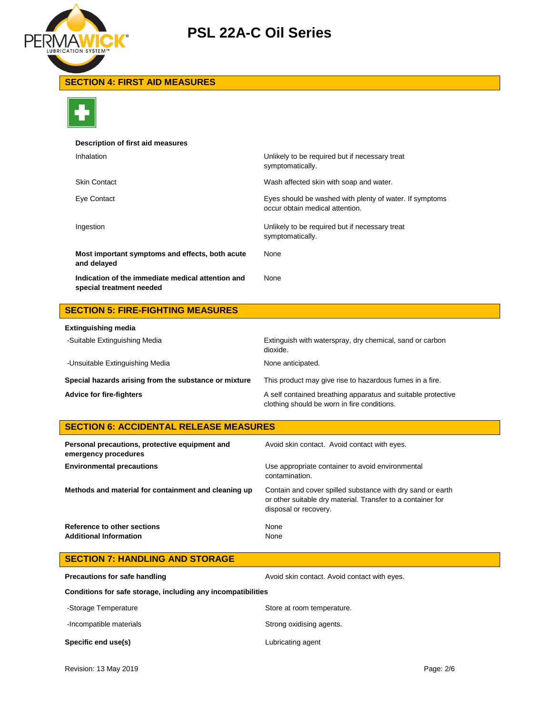

# **SECTION 4: FIRST AID MEASURES**



## **Description of first aid measures**

| Inhalation                                                                    | Unlikely to be required but if necessary treat<br>symptomatically.                         |
|-------------------------------------------------------------------------------|--------------------------------------------------------------------------------------------|
| <b>Skin Contact</b>                                                           | Wash affected skin with soap and water.                                                    |
| Eye Contact                                                                   | Eyes should be washed with plenty of water. If symptoms<br>occur obtain medical attention. |
| Ingestion                                                                     | Unlikely to be required but if necessary treat<br>symptomatically.                         |
| Most important symptoms and effects, both acute<br>and delayed                | None                                                                                       |
| Indication of the immediate medical attention and<br>special treatment needed | None                                                                                       |

# **SECTION 5: FIRE-FIGHTING MEASURES**

| <b>Extinguishing media</b>                            |                                                                                                             |
|-------------------------------------------------------|-------------------------------------------------------------------------------------------------------------|
| -Suitable Extinguishing Media                         | Extinguish with waterspray, dry chemical, sand or carbon<br>dioxide.                                        |
| -Unsuitable Extinguishing Media                       | None anticipated.                                                                                           |
| Special hazards arising from the substance or mixture | This product may give rise to hazardous fumes in a fire.                                                    |
| <b>Advice for fire-fighters</b>                       | A self contained breathing apparatus and suitable protective<br>clothing should be worn in fire conditions. |

# **SECTION 6: ACCIDENTAL RELEASE MEASURES**

| Personal precautions, protective equipment and<br>emergency procedures | Avoid skin contact. Avoid contact with eyes.                                                                                                       |
|------------------------------------------------------------------------|----------------------------------------------------------------------------------------------------------------------------------------------------|
| <b>Environmental precautions</b>                                       | Use appropriate container to avoid environmental<br>contamination.                                                                                 |
| Methods and material for containment and cleaning up                   | Contain and cover spilled substance with dry sand or earth<br>or other suitable dry material. Transfer to a container for<br>disposal or recovery. |
| Reference to other sections<br><b>Additional Information</b>           | None<br>None                                                                                                                                       |

| <b>SECTION 7: HANDLING AND STORAGE</b>                       |                                              |  |
|--------------------------------------------------------------|----------------------------------------------|--|
| <b>Precautions for safe handling</b>                         | Avoid skin contact. Avoid contact with eyes. |  |
| Conditions for safe storage, including any incompatibilities |                                              |  |
| -Storage Temperature                                         | Store at room temperature.                   |  |
| -Incompatible materials                                      | Strong oxidising agents.                     |  |
|                                                              |                                              |  |

# **Specific end use(s)** Lubricating agent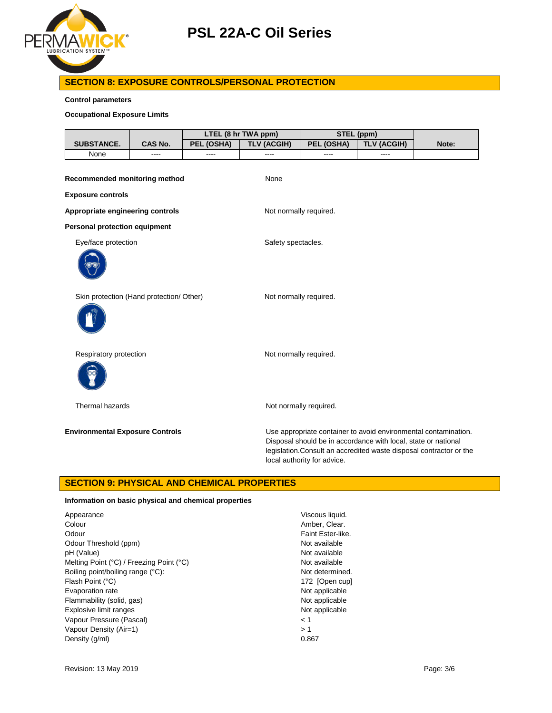

# **SECTION 8: EXPOSURE CONTROLS/PERSONAL PROTECTION**

**Control parameters**

### **Occupational Exposure Limits**

|                                          |         |            | LTEL (8 hr TWA ppm)    | STEL (ppm)                  |                                                                                                                                                                                                          |       |
|------------------------------------------|---------|------------|------------------------|-----------------------------|----------------------------------------------------------------------------------------------------------------------------------------------------------------------------------------------------------|-------|
| SUBSTANCE.                               | CAS No. | PEL (OSHA) | <b>TLV (ACGIH)</b>     | PEL (OSHA)                  | <b>TLV (ACGIH)</b>                                                                                                                                                                                       | Note: |
| None                                     | ----    | ----       | ----                   | ----                        | ----                                                                                                                                                                                                     |       |
| Recommended monitoring method            |         |            | None                   |                             |                                                                                                                                                                                                          |       |
| <b>Exposure controls</b>                 |         |            |                        |                             |                                                                                                                                                                                                          |       |
| Appropriate engineering controls         |         |            | Not normally required. |                             |                                                                                                                                                                                                          |       |
| <b>Personal protection equipment</b>     |         |            |                        |                             |                                                                                                                                                                                                          |       |
| Eye/face protection                      |         |            | Safety spectacles.     |                             |                                                                                                                                                                                                          |       |
|                                          |         |            |                        |                             |                                                                                                                                                                                                          |       |
| Skin protection (Hand protection/ Other) |         |            | Not normally required. |                             |                                                                                                                                                                                                          |       |
|                                          |         |            |                        |                             |                                                                                                                                                                                                          |       |
| Respiratory protection                   |         |            | Not normally required. |                             |                                                                                                                                                                                                          |       |
|                                          |         |            |                        |                             |                                                                                                                                                                                                          |       |
| Thermal hazards                          |         |            |                        | Not normally required.      |                                                                                                                                                                                                          |       |
| <b>Environmental Exposure Controls</b>   |         |            |                        | local authority for advice. | Use appropriate container to avoid environmental contamination.<br>Disposal should be in accordance with local, state or national<br>legislation. Consult an accredited waste disposal contractor or the |       |

## **SECTION 9: PHYSICAL AND CHEMICAL PROPERTIES**

### **Information on basic physical and chemical properties**

| Appearance                               | Viscous liquid.   |
|------------------------------------------|-------------------|
| Colour                                   | Amber, Clear.     |
| Odour                                    | Faint Ester-like. |
| Odour Threshold (ppm)                    | Not available     |
| pH (Value)                               | Not available     |
| Melting Point (°C) / Freezing Point (°C) | Not available     |
| Boiling point/boiling range (°C):        | Not determined.   |
| Flash Point (°C)                         | 172 [Open cup]    |
| Evaporation rate                         | Not applicable    |
| Flammability (solid, gas)                | Not applicable    |
| Explosive limit ranges                   | Not applicable    |
| Vapour Pressure (Pascal)                 | < 1               |
| Vapour Density (Air=1)                   | >1                |
| Density (q/ml)                           | 0.867             |
|                                          |                   |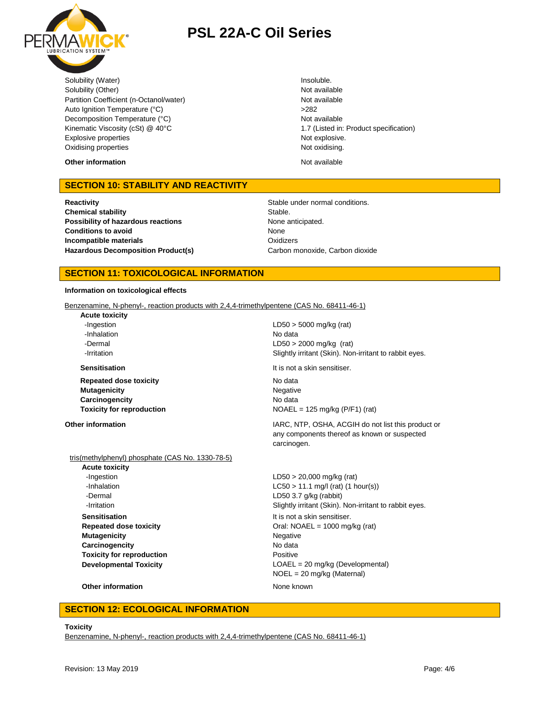

Solubility (Water) **Insoluble.** Insoluble. Solubility (Other) Not available Partition Coefficient (n-Octanol/water) Not available Auto Ignition Temperature (°C) <br>
>282 Decomposition Temperature (°C) Not available Kinematic Viscosity (cSt) @ 40°C 1.7 (Listed in: Product specification) Explosive properties **Not explosive.** Not explosive. Oxidising properties Not oxidising.

**Other information** Not available

# **SECTION 10: STABILITY AND REACTIVITY**

**Reactivity Reactivity Stable under normal conditions. Chemical stability** Stable. **Possibility of hazardous reactions** None anticipated. **Conditions to avoid Incompatible materials Hazardous Decomposition Product(s)** Carbon monoxide, Carbon dioxide

None **Oxidizers** 

### **SECTION 11: TOXICOLOGICAL INFORMATION**

#### **Information on toxicological effects**

Benzenamine, N-phenyl-, reaction products with 2,4,4-trimethylpentene (CAS No. 68411-46-1)

**Acute toxicity** -Inhalation No data

**Repeated dose toxicity** No data **Mutagenicity** Negative **Carcinogencity** No data

-Ingestion LD50 > 5000 mg/kg (rat) -Dermal LD50 > 2000 mg/kg (rat) -Irritation Slightly irritant (Skin). Non-irritant to rabbit eyes.

**Sensitisation It is not a skin sensitiser.** 

**Toxicity for reproduction**  $NOAEL = 125 \text{ mg/kg (P/F1) (rat)}$ 

**Other information IARC, NTP, OSHA, ACGIH do not list this product or IARC**, NTP, OSHA, ACGIH do not list this product or any components thereof as known or suspected carcinogen.

#### tris(methylphenyl) phosphate (CAS No. 1330-78-5)

**Acute toxicity** -Ingestion LD50 > 20,000 mg/kg (rat) -Dermal LD50 3.7 g/kg (rabbit) **Sensitisation It is not a skin sensitiser. Mutagenicity** Negative **Carcinogencity** No data **Toxicity for reproduction Positive** Positive

-Inhalation LC50 > 11.1 mg/l (rat) (1 hour(s)) **-Irritation Slightly irritant (Skin). Non-irritant to rabbit eyes. Repeated dose toxicity Call: NOAEL = 1000 mg/kg (rat) Developmental Toxicity COAEL = 20 mg/kg (Developmental)** NOEL = 20 mg/kg (Maternal)

#### **Other information** None known

## **SECTION 12: ECOLOGICAL INFORMATION**

#### **Toxicity**

Benzenamine, N-phenyl-, reaction products with 2,4,4-trimethylpentene (CAS No. 68411-46-1)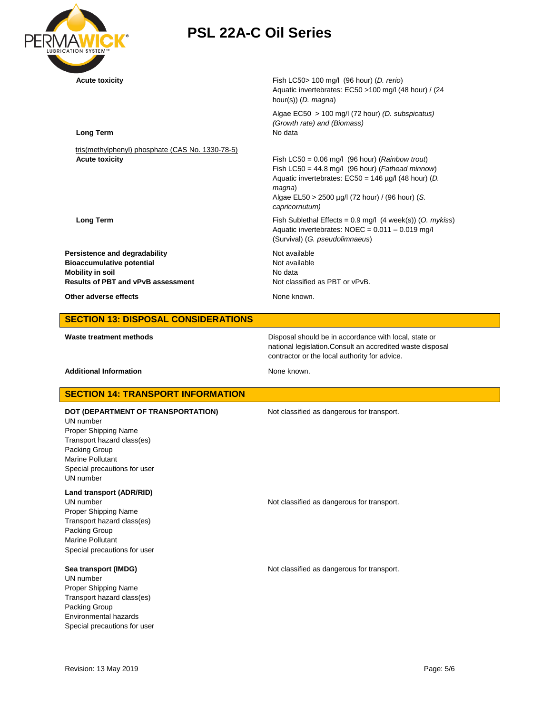

Aquatic invertebrates: EC50 >100 mg/l (48 hour) / (24 hour(s)) (*D. magna*) Algae EC50 > 100 mg/l (72 hour) *(D. subspicatus) (Growth rate) and (Biomass)* **Long Term** No data tris(methylphenyl) phosphate (CAS No. 1330-78-5) **Acute toxicity** Fish LC50 = 0.06 mg/l (96 hour) (*Rainbow trout*) Fish LC50 = 44.8 mg/l (96 hour) (*Fathead minnow*) Aquatic invertebrates: EC50 = 146 µg/l (48 hour) (*D. magna*) Algae EL50 > 2500 µg/l (72 hour) / (96 hour) (*S. capricornutum)* **Long Term Fish Sublethal Effects = 0.9 mg/l (4 week(s)) (O. mykiss) Fish Sublethal Effects = 0.9 mg/l (4 week(s)) (O. mykiss)** Aquatic invertebrates: NOEC = 0.011 – 0.019 mg/l (Survival) (*G. pseudolimnaeus*) **Persistence and degradability** Not available **Bioaccumulative potential Not available** Not available **Mobility in soil**<br> **Results of PBT and vPvB assessment**<br> **Results of PBT and vPvB assessment**<br>
Not classified as PBT or vPvB. **Results of PBT and vPvB assessment Other adverse effects** None known. **SECTION 13: DISPOSAL CONSIDERATIONS Waste treatment methods** Disposal should be in accordance with local, state or national legislation.Consult an accredited waste disposal contractor or the local authority for advice. Additional Information **None known**. **SECTION 14: TRANSPORT INFORMATION DOT (DEPARTMENT OF TRANSPORTATION)** Not classified as dangerous for transport. UN number Proper Shipping Name Transport hazard class(es) Packing Group Marine Pollutant Special precautions for user UN number **Land transport (ADR/RID)** UN number **Not classified as dangerous for transport.** Proper Shipping Name Transport hazard class(es) Packing Group Marine Pollutant Special precautions for user **Sea transport (IMDG)** Not classified as dangerous for transport. UN number Proper Shipping Name Transport hazard class(es)

Packing Group Environmental hazards Special precautions for user